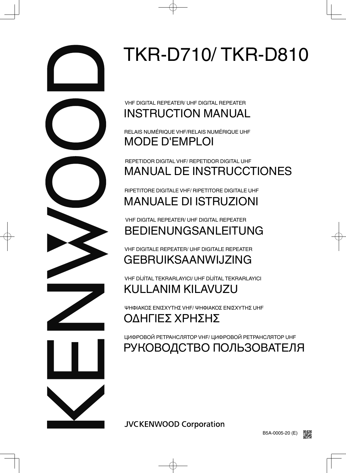

**JVCKENWOOD Corporation** 



## РУКОВОДСТВО ПОЛЬЗОВАТЕЛЯ

ЦИФРОВОЙ РЕТРАНСЛЯТОР VHF/ ЦИФРОВОЙ РЕТРАНСЛЯТОР UHF

## ΟΔΗΓΙΕΣ ΧΡΗΣΗΣ

ΨΗΦΙΑΚΟΣ ΕΝΙΣΧΥΤΗΣ VHF/ ΨΗΦΙΑΚΟΣ ΕΝΙΣΧΥΤΗΣ UHF

# KULLANIM KILAVUZU

VHF DİJİTAL TEKRARLAYICI/ UHF DİJİTAL TEKRARLAYICI

## GEBRUIKSAANWIJZING VHF DIGITALE REPEATER/ UHF DIGITALE REPEATER

## BEDIENUNGSANLEITUNG VHF DIGITAL REPEATER/ UHF DIGITAL REPEATER

# MANUALE DI ISTRUZIONI

RIPETITORE DIGITALE VHF/ RIPETITORE DIGITALE UHF

## MANUAL DE INSTRUCCTIONES REPETIDOR DIGITAL VHF/ REPETIDOR DIGITAL UHF

## MODE D'EMPLOI RELAIS NUMÉRIQUE VHF/RELAIS NUMÉRIQUE UHF

# INSTRUCTION MANUAL

VHF DIGITAL REPEATER/ UHF DIGITAL REPEATER

# TKR-D710/ TKR-D810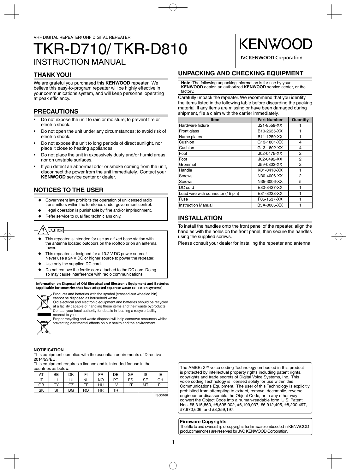## INSTRUCTION MANUAL TKR-D710/ TKR-D810

## **THANK YOU!**

We are grateful you purchased this **KENWOOD** repeater. We believe this easy-to-program repeater will be highly effective in your communications system, and will keep personnel operating at peak efficiency.

## **PRECAUTIONS**

- Do not expose the unit to rain or moisture; to prevent fire or electric shock.
- Do not open the unit under any circumstances; to avoid risk of electric shock.
- Do not expose the unit to long periods of direct sunlight, nor place it close to heating appliances.
- Do not place the unit in excessively dusty and/or humid areas, nor on unstable surfaces.
- If you detect an abnormal odor or smoke coming from the unit, disconnect the power from the unit immediately. Contact your **KENWOOD** service center or dealer.

## **NOTICES TO THE USER**

- Government law prohibits the operation of unlicensed radio transmitters within the territories under government control.
- Illegal operation is punishable by fine and/or imprisonment.
- Refer service to qualified technicians only.

## CAUTION

- ◆ This repeater is intended for use as a fixed base station with the antenna located outdoors on the rooftop or on an antenna tower.
- This repeater is designed for a 13.2 V DC power source! Never use a 24 V DC or higher source to power the repeater.
- Use only the supplied DC cord.
- Do not remove the ferrite core attached to the DC cord. Doing so may cause interference with radio communications.

#### **Information on Disposal of Old Electrical and Electronic Equipment and Batteries (applicable for countries that have adopted separate waste collection systems)**



 Products and batteries with the symbol (crossed-out wheeled bin) cannot be disposed as household waste.

Old electrical and electronic equipment and batteries should be recycled at a facility capable of handling these items and their waste byproducts. Contact your local authority for details in locating a recycle facility nearest to you.

Proper recycling and waste disposal will help conserve resources whilst preventing detrimental effects on our health and the environment.

#### **NOTIFICATION**

This equipment complies with the essential requirements of Directive 2014/53/EU.

This equipment requires a licence and is intended for use in the countries as below.

| AT | BE | DK        | FI        | FR  | DE        | GR | IS        | ΙE        |
|----|----|-----------|-----------|-----|-----------|----|-----------|-----------|
|    |    | LU        | <b>NL</b> | NO. | <b>PT</b> | ES | <b>SE</b> | <b>CH</b> |
| GB | CY | CZ        | EЕ        | HU  | LV        | LT | MT        | PI        |
| SK | SI | <b>BG</b> | RO.       | HR  | TR        |    |           |           |

ISO3166

## **KENWO**

**JVCKENWOOD Corporation** 

## **UNPACKING AND CHECKING EQUIPMENT**

**Note:** The following unpacking information is for use by your **KENWOOD** dealer, an authorized **KENWOOD** service center, or the factory.

Carefully unpack the repeater. We recommend that you identify the items listed in the following table before discarding the packing material. If any items are missing or have been damaged during shipment, file a claim with the carrier immediately.

| <b>Item</b>                       | <b>Part Number</b> | Quantity |
|-----------------------------------|--------------------|----------|
| Hardware fixture                  | J21-8559-XX        |          |
| Front glass                       | B10-2635-XX        |          |
| Name plates                       | B11-1259-XX        |          |
| lCushion                          | G13-1801-XX        | 4        |
| lCushion                          | G13-1802-XX        | 4        |
| lFoot                             | J02-0475-XX        | 2        |
| lFoot                             | J02-0492-XX        | 2        |
| lGrommet                          | J59-0302-XX        | 2        |
| <b>Handle</b>                     | K01-0418-XX        |          |
| Screws                            | N30-4006-XX        | 2        |
| IScrews                           | N35-3006-XX        | 5        |
| <b>IDC</b> cord                   | E30-3427-XX        |          |
| Lead wire with connector (15 pin) | E31-3228-XX        |          |
| <b>IFuse</b>                      | F05-1537-XX        |          |
| IInstruction Manual               | B5A-0005-XX        |          |

## **INSTALLATION**

To install the handles onto the front panel of the repeater, align the handles with the holes on the front panel, then secure the handles using the supplied screws.

Please consult your dealer for installing the repeater and antenna.

The AMBE+2TM voice coding Technology embodied in this product is protected by intellectual property rights including patent rights, copyrights and trade secrets of Digital Voice Systems, Inc. This voice coding Technology is licensed solely for use within this Communications Equipment. The user of this Technology is explicitly prohibited from attempting to extract, remove, decompile, reverse engineer, or disassemble the Object Code, or in any other way convert the Object Code into a human-readable form. U.S. Patent Nos. #8,315,860, #8,595,002, #6,199,037, #6,912,495, #8,200,497, #7,970,606, and #8,359,197.

#### **Firmware Copyrights**

The title to and ownership of copyrights for firmware embedded in KENWOOD product memories are reserved for JVC KENWOOD Corporation.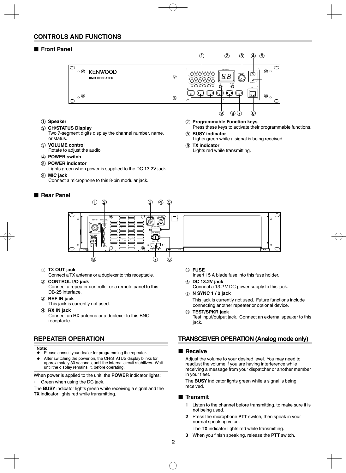## **CONTROLS AND FUNCTIONS**

#### ■ **Front Panel**



- a **Speaker**
- b **CH/STATUS Display**
	- Two 7-segment digits display the channel number, name, or status.
- **(3) VOLUME control** Rotate to adjust the audio.
- d **POWER switch**
- e **POWER indicator**
	- Lights green when power is supplied to the DC 13.2V jack.
- $6$  MIC jack

Connect a microphone to this 8-pin modular jack.

### ■ **Rear Panel**

g **Programmable Function keys** Press these keys to activate their programmable functions.

#### h **BUSY indicator**

Lights green while a signal is being received.

**(9) TX** indicator Lights red while transmitting.



#### a **TX OUT jack**

Connect a TX antenna or a duplexer to this receptacle.

- b **CONTROL I/O jack** Connect a repeater controller or a remote panel to this DB-25 interface.
- c **REF IN jack** This jack is currently not used.
- d **RX IN jack** Connect an RX antenna or a duplexer to this BNC receptacle.

## **REPEATER OPERATION**

#### **Note:**

- ◆ Please consult your dealer for programming the repeater.
- After switching the power on, the CH/STATUS display blinks for approximately 30 seconds, until the internal circuit stabilizes. Wait until the display remains lit, before operating.

When power is applied to the unit, the **POWER** indicator lights:

・ Green when using the DC jack.

The **BUSY** indicator lights green while receiving a signal and the **TX** indicator lights red while transmitting.

e **FUSE**

Insert 15 A blade fuse into this fuse holder.

- f **DC 13.2V jack** Connect a 13.2 V DC power supply to this jack.
- g **N SYNC 1 / 2 jack** This jack is currently not used. Future functions include connecting another repeater or optional device.
- h **TEST/SPKR jack** Test input/output jack. Connect an external speaker to this jack.

## **TRANSCEIVER OPERATION (Analog mode only)**

#### ■ **Receive**

 Adjust the volume to your desired level. You may need to readjust the volume if you are having interference while receiving a message from your dispatcher or another member in your fleet.

 The **BUSY** indicator lights green while a signal is being received.

#### ■ **Transmit**

- **1** Listen to the channel before transmitting, to make sure it is not being used.
- **2** Press the microphone **PTT** switch, then speak in your normal speaking voice.

The **TX** indicator lights red while transmitting.

**3** When you finish speaking, release the **PTT** switch.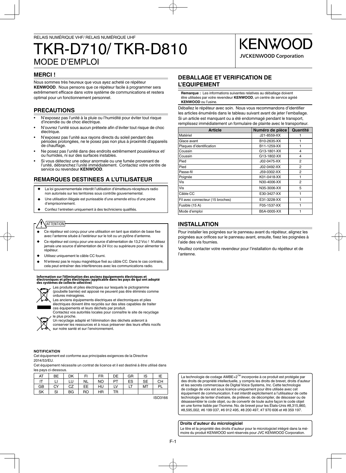## MODE D'EMPLOI TKR-D710/ TKR-D810

## **KENWO JVCKENWOOD Corporation**

### **MERCI !**

Nous sommes très heureux que vous ayez acheté ce répéteur **KENWOOD**. Nous pensons que ce répéteur facile à programmer sera extrêmement efficace dans votre système de communications et restera optimal pour un fonctionnement personnel.

## **PRECAUTIONS**

- N'exposez pas l'unité à la pluie ou l'humidité pour éviter tout risque d'incendie ou de choc électrique.
- N'ouvrez l'unité sous aucun prétexte afin d'éviter tout risque de choc électrique.
- N'exposez pas l'unité aux rayons directs du soleil pendant des périodes prolongées, ne le posez pas non plus à proximité d'appareils de chauffage.
- Ne posez pas l'unité dans des endroits extrêmement poussiéreux et/ ou humides, ni sur des surfaces instables.
- Si vous détectez une odeur anormale ou une fumée provenant de l'unité, débranchez l'unité immédiatement. Contactez votre centre de service ou revendeur **KENWOOD**.

## **REMARQUES DESTINEES A L'UTILISATEUR**

- La loi gouvernementale interdit l'utilisation d'émetteurs-récepteurs radio non autorisés sur les territoires sous contrôle gouvernemental.
- Une utilisation illégale est punissable d'une amende et/ou d'une peine d'emprisonnement.
- Confiez l'entretien uniquement à des techniciens qualifiés.

## ATTENTION

- Ce répéteur est conçu pour une utilisation en tant que station de base fixe avec l'antenne située à l'extérieur sur le toit ou un pylône d'antenne.
- Ce répéteur est conçu pour une source d'alimentation de 13,2 Vcc ! N'utilisez jamais une source d'alimentation de 24 Vcc ou supérieure pour alimenter le répéteur.
- Utilisez uniquement le câble CC fourni.
- N'enlevez pas le noyau magnétique fixé au câble CC. Dans le cas contraire, cela peut entraîner des interférences avec les communications radio.

## **Information sur l'élimination des anciens équipements électriques et électroniques et piles électriques (applicable dans les pays de qui ont adopté des systèmes de collecte sélective)**



Les produits et piles électriques sur lesquels le pictogramme (poubelle barrée) est apposé ne peuvent pas être éliminés comme





électriques doivent être recyclés sur des sites capables de traiter ces équipements et leurs déchets par produit. Contactez vos autorités locales pour connaître le site de recyclage

le plus proche. Un recyclage adapté et l'élimination des déchets aideront à

conserver les ressources et à nous préserver des leurs effets nocifs sur notre santé et sur l'environnement.

#### **NOTIFICATION**

Cet équipement est conforme aux principales exigences de la Directive 2014/53/EU.

Cet équipement nécessite un contrat de licence et il est destiné à être utilisé dans les pays ci-dessous.

| AT | ВE | DK | FI | FR        | DE | GR | IS        | ΙE |
|----|----|----|----|-----------|----|----|-----------|----|
|    |    | LU | NL | <b>NO</b> | PТ | ES | <b>SE</b> | CН |
| GB | CY | CZ | EЕ | HU        | LV | ы  | MT        | PL |
| SK | SI | ВG | RO | ΗR        | TR |    |           |    |

ISO3166



**Remarque :** Les informations suivantes relatives au déballage doivent être utilisées par votre revendeur **KENWOOD**, un centre de service agréé **KENWOOD** ou l'usine.

Déballez le répéteur avec soin. Nous vous recommandons d'identifier les articles énumérés dans le tableau suivant avant de jeter l'emballage. Si un article est manquant ou a été endommagé pendant le transport, remplissez immédiatement un formulaire de plainte avec le transporteur.

| <b>Article</b>                   | Numéro de pièce | Quantité       |
|----------------------------------|-----------------|----------------|
| Matériel                         | J21-8559-XX     |                |
| Glace avant                      | B10-2635-XX     |                |
| Plaques d'identification         | B11-1259-XX     | 1              |
| Coussin                          | G13-1801-XX     | 4              |
| Coussin                          | G13-1802-XX     | 4              |
| Pied                             | J02-0475-XX     | 2              |
| Pied                             | J02-0492-XX     | 2              |
| Passe-fil                        | J59-0302-XX     | 2              |
| Poignée                          | K01-0418-XX     | 1              |
| Vis                              | N30-4006-XX     | $\overline{2}$ |
| Vis                              | N35-3006-XX     | 5              |
| Câble CC                         | E30-3427-XX     | 1              |
| Fil avec connecteur (15 broches) | E31-3228-XX     | 1              |
| Fusible (15 A)                   | F05-1537-XX     | 1              |
| Mode d'emploi                    | B5A-0005-XX     | 1              |

## **INSTALLATION**

Pour installer les poignées sur le panneau avant du répéteur, alignez les poignées aux orifices sur le panneau avant, ensuite, fixez les poignées à l'aide des vis fournies.

Veuillez contacter votre revendeur pour l'installation du répéteur et de l'antenne.

La technologie de codage AMBE+2™ incorporée à ce produit est protégée par des droits de propriété intellectuelle, y compris les droits de brevet, droits d'auteur et les secrets commerciaux de Digital Voice Systems, Inc. Cette technologie de codage de voix est sous licence uniquement pour être utilisée avec cet équipement de communication. Il est interdit explicitement a l'utilisateur de cette technologie de tenter d'extraire, de prélever, de décompiler, de désosser ou de désassembler le code objet, ou de convertir de toute autre façon le code objet en une forme lisible par l'homme. No. de brevet pour les États-Unis #8,315,860, #8,595,002, #6 199 037, #6 912 495, #8 200 497, #7 970 606 et #8 359 197.

#### **Droits d'auteur du micrologiciel**

Le titre et la propriété des droits d'auteur pour le micrologiciel intégré dans la mémoire du produit KENWOOD sont réservés pour JVC KENWOOD Corporation.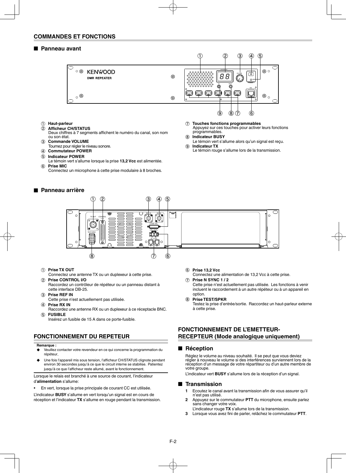#### ■ Panneau avant



- a **Haut-parleur**
- $\overline{2}$  Afficheur CH/STATUS
- Deux chiffres à 7 segments affichent le numéro du canal, son nom ou son état.
- **(3) Commande VOLUME** 
	- Tournez pour régler le niveau sonore.
- d **Commutateur POWER**
- e **Indicateur POWER**
- Le témoin vert s'allume lorsque la prise **13,2 Vcc** est alimentée.  $6$  Prise MIC
	- Connectez un microphone à cette prise modulaire à 8 broches.

#### ■ **Panneau arrière**

- g **Touches fonctions programmables** Appuyez sur ces touches pour activer leurs fonctions programmables.
- h **Indicateur BUSY**
- Le témoin vert s'allume alors qu'un signal est reçu. **9** Indicateur TX
- Le témoin rouge s'allume lors de la transmission.



#### a **Prise TX OUT**

- Connectez une antenne TX ou un duplexeur à cette prise. b **Prise CONTROL I/O**
- Raccordez un contrôleur de répéteur ou un panneau distant à cette interface DB-25.
- **(3) Prise REF IN**
- Cette prise n'est actuellement pas utilisée.
- d **Prise RX IN**
- Raccordez une antenne RX ou un duplexeur à ce réceptacle BNC. e **FUSIBLE**
	- Insérez un fusible de 15 A dans ce porte-fusible.

## **FONCTIONNEMENT DU REPETEUR**

#### **Remarque :**

- ◆ Veuillez contacter votre revendeur en ce qui concerne la programmation du répéteur.
- Une fois l'appareil mis sous tension, l'afficheur CH/STATUS clignote pendant environ 30 secondes jusqu'à ce que le circuit interne se stabilise. Patientez jusqu'à ce que l'afficheur reste allumé, avant le fonctionnement.

Lorsque le relais est branché à une source de courant, l'indicateur d'**alimentation** s'allume:

• En vert, lorsque la prise principale de courant CC est utilisée.

L'indicateur **BUSY** s'allume en vert lorsqu'un signal est en cours de réception et l'indicateur **TX** s'allume en rouge pendant la transmission.

- f **Prise 13,2 Vcc**
- Connectez une alimentation de 13,2 Vcc à cette prise.
- g **Prise N SYNC 1 / 2**

Cette prise n'est actuellement pas utilisée. Les fonctions à venir incluent le raccordement à un autre répéteur ou à un appareil en option.

h **Prise TEST/SPKR**

Testez la prise d'entrée/sortie. Raccordez un haut-parleur externe à cette prise.

#### **FONCTIONNEMENT DE L'EMETTEUR-RECEPTEUR (Mode analogique uniquement)**

#### ■ Réception

 Réglez le volume au niveau souhaité. Il se peut que vous deviez régler à nouveau le volume si des interférences surviennent lors de la réception d'un message de votre répartiteur ou d'un autre membre de votre groupe.

L'indicateur vert **BUSY** s'allume lors de la réception d'un signal.

#### ■ **Transmission**

- **1** Ecoutez le canal avant la transmission afin de vous assurer qu'il n'est pas utilisé.
- **2** Appuyez sur le commutateur **PTT** du microphone, ensuite parlez sans changer votre voix.
- L'indicateur rouge **TX** s'allume lors de la transmission.
- **3** Lorsque vous avez fini de parler, relâchez le commutateur PTT.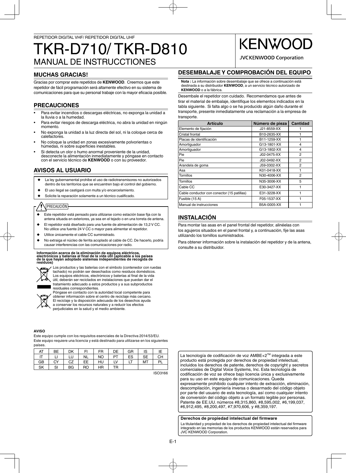## MANUAL DE INSTRUCCTIONES TKR-D710/ TKR-D810

## **MUCHAS GRACIAS!**

Gracias por comprar este repetidos de **KENWOOD**. Creemos que este repetidor de fácil programación será altamente efectivo en su sistema de comunicaciones para que su personal trabaje con la mayor eficacia posible.

## **PRECAUCIONES**

- Para evitar incendios o descargas eléctricas, no exponga la unidad a la lluvia o a la humedad.
- Para evitar riesgos de descarga eléctrica, no abra la unidad en ningún momento.
- No exponga la unidad a la luz directa del sol, ni la coloque cerca de calefactores.
- No coloque la unidad en zonas excesivamente polvorientas o húmedas, ni sobre superficies inestables.
- Si detecta un olor o humo anormal proveniente de la unidad, desconecte la alimentación inmediatamente y póngase en contacto con el servicio técnico de **KENWOOD** o con su proveedor.

## **AVISOS AL USUARIO**

- La ley gubernamental prohíbe el uso de radiotransmisores no autorizados dentro de los territorios que se encuentren bajo el control del gobierno.
- El uso ilegal se castigará con multa y/o encarcelamiento.
- Solicite la reparación solamente a un técnico cualificado.

### PRECAUCIÓN

- Este repetidor está pensado para utilizarse como estación base fija con la antena situada en exteriores, ya sea en el tejado o en una torreta de antena.
- El repetidor está diseñado para una fuente de alimentación de 13,2 V CC. No utilice una fuente 24 V CC o mayor para alimentar el repetidor.
- Utilice únicamente el cable CC suministrado.

residuales correspondientes.

No extraiga el núcleo de ferrita acoplado al cable de CC. De hacerlo, podría causar interferencias con las comunicaciones por radio.

Información acerca de la eliminación de equipos eléctricos,<br>electrónicos y baterías al final de la vida útil (aplicable a los países<br>de la que hayan adoptado sistemas independientes de recogida de<br>residuos)



Los productos y las baterías con el símbolo (contenedor con ruedas tachado) no podrán ser desechados como residuos domésticos. Los equipos eléctricos, electrónicos y baterías al final de la vida útil, deberán ser reciclados en instalaciones que puedan dar el tratamiento adecuado a estos productos y a sus subproductos



Póngase en contacto con la autoridad local competente para obtener información sobre el centro de reciclaje más cercano. El reciclaje y la disposición adecuada de los desechos ayuda a conservar los recursos naturales y a reducir los efectos

perjudiciales en la salud y el medio ambiente.

#### **AVISO**

Este equipo cumple con los requisitos esenciales de la Directiva 2014/53/EU. Este equipo requiere una licencia y está destinado para utilizarse en los siguientes países.

| AT | BE | DK | FI        | FR        | DE        | GR | IS | ΙE        |
|----|----|----|-----------|-----------|-----------|----|----|-----------|
| דו | ⊔  | LU | <b>NL</b> | <b>NO</b> | <b>PT</b> | ES | SE | CН        |
| GB | CY | CZ | EЕ        | HU        | LV        | LT | MT | <b>PL</b> |
| SK | SI | ВG | RO        | HR        | TR        |    |    |           |

ISO3166

## **DESEMBALAJE Y COMPROBACIÓN DEL EQUIPO**

**KENWO** 

**JVCKENWOOD Corporation** 

**Nota :** La información sobre desembalaje que se ofrece a continuación está destinada a su distribuidor **KENWOOD**, a un servicio técnico autorizado de **KENWOOD** o a la fábrica.

Desembale el repetidor con cuidado. Recomendamos que antes de tirar el material de embalaje, identifique los elementos indicados en la tabla siguiente. Si falta algo o se ha producido algún daño durante el transporte, presente inmediatamente una reclamación a la empresa de transporte.

| <b>Artículo</b>                            | Número de pieza | <b>Cantidad</b> |
|--------------------------------------------|-----------------|-----------------|
| Elemento de fijación                       | J21-8559-XX     |                 |
| Cristal frontal                            | B10-2635-XX     |                 |
| Placas de identificación                   | B11-1259-XX     |                 |
| Amortiguador                               | G13-1801-XX     | 4               |
| Amortiquador                               | G13-1802-XX     | 4               |
| Pie                                        | J02-0475-XX     | 2               |
| Pie                                        | J02-0492-XX     | 2               |
| Arandela de goma                           | J59-0302-XX     | 2               |
| Asa                                        | K01-0418-XX     |                 |
| <b>Tornillos</b>                           | N30-4006-XX     | $\overline{2}$  |
| Tornillos                                  | N35-3006-XX     | 5               |
| Cable CC                                   | E30-3427-XX     | 1               |
| Cable conductor con conector (15 patillas) | E31-3228-XX     | 1               |
| Fusible (15 A)                             | F05-1537-XX     | 1               |
| Manual de instrucciones                    | B5A-0005-XX     | 1               |

## **INSTALACIÓN**

Para montar las asas en el panel frontal del repetidor, alinéelas con los agujeros situados en el panel frontal y, a continuación, fije las asas utilizando los tornillos suministrados.

Para obtener información sobre la instalación del repetidor y de la antena, consulte a su distribuidor.

La tecnología de codificación de voz AMBE+2™ integrada a este producto está protegida por derechos de propiedad intelectual, incluidos los derechos de patente, derechos de copyright y secretos comerciales de Digital Voice Systems, Inc. Esta tecnología de codificación de voz se ofrece bajo licencia única y exclusivamente para su uso en este equipo de comunicaciones. Queda expresamente prohibido cualquier intento de extracción, eliminación, descompilación, ingeniería inversa o desarmado del código objeto por parte del usuario de esta tecnología, así como cualquier intento de conversión del código objeto a un formato legible por personas. Patente de EE.UU. números #8,315,860, #8,595,002, #6,199,037, #6,912,495, #8,200,497, #7,970,606, y #8,359,197.

#### **Derechos de propiedad intelectual del firmware**

La titularidad y propiedad de los derechos de propiedad intelectual del firmware integrado en las memorias de los productos KENWOOD están reservados para JVC KENWOOD Corporation.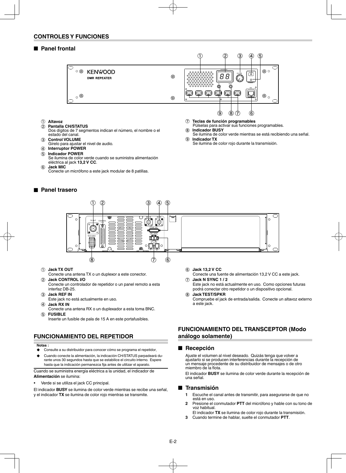#### ■ **Panel frontal**



- a **Altavoz**
- b **Pantalla CH/STATUS** Dos dígitos de 7 segmentos indican el número, el nombre o el estado del canal.
- **(3) Control VOLUME**
- Gírelo para ajustar el nivel de audio.
- d **Interruptor POWER**
- e **Indicador POWER**
	- Se ilumina de color verde cuando se suministra alimentación eléctrica al jack **13,2 V CC**.
- $(6)$  Jack MIC

Conecte un micrófono a este jack modular de 8 patillas.

#### **Panel trasero**



- h **Indicador BUSY**
- Se ilumina de color verde mientras se está recibiendo una señal. i **Indicador TX**
	- Se ilumina de color rojo durante la transmisión.



- a **Jack TX OUT**
- Conecte una antena TX o un duplexor a este conector.
- b **Jack CONTROL I/O** Conecte un controlador de repetidor o un panel remoto a esta interfaz DB-25.
- **(3)** Jack REF IN
- Este jack no está actualmente en uso.
- d **Jack RX IN**
- Conecte una antena RX o un duplexador a esta toma BNC. e **FUSIBLE**

Inserte un fusible de pala de 15 A en este portafusibles.

## **FUNCIONAMIENTO DEL REPETIDOR**

#### **Notas :**

- ◆ Consulte a su distribuidor para conocer cómo se programa el repetidor.
- ◆ Cuando conecte la alimentación, la indicación CH/STATUS parpadeará durante unos 30 segundos hasta que se estabilice el circuito interno. Espere hasta que la indicación permanezca fija antes de utilizar el aparato.

Cuando se suministra energía eléctrica a la unidad, el indicador de **Alimentación** se ilumina:

Verde si se utiliza el jack CC principal.

El indicador **BUSY** se ilumina de color verde mientras se recibe una señal, y el indicador **TX** se ilumina de color rojo mientras se transmite.

- f **Jack 13,2 V CC**
- Conecte una fuente de alimentación 13,2 V CC a este jack. g **Jack N SYNC 1 / 2**
- Este jack no está actualmente en uso. Como opciones futuras podrá conectar otro repetidor o un dispositivo opcional.
- h **Jack TEST/SPKR** Compruebe el jack de entrada/salida. Conecte un altavoz externo a este jack.

#### **FUNCIONAMIENTO DEL TRANSCEPTOR (Modo análogo solamente)**

#### ■ Recepción

 Ajuste el volumen al nivel deseado. Quizás tenga que volver a ajustarlo si se producen interferencias durante la recepción de un mensaje procedente de su distribuidor de mensajes o de otro miembro de la flota.

 El indicador **BUSY** se ilumina de color verde durante la recepción de una señal.

#### ■ **Transmisión**

- **1** Escuche el canal antes de transmitir, para asegurarse de que no está en uso.
- **2** Presione el conmutador **PTT** del micrófono y hable con su tono de voz habitual.
	- El indicador **TX** se ilumina de color rojo durante la transmisión.
- **3** Cuando termine de hablar, suelte el conmutador **PTT**.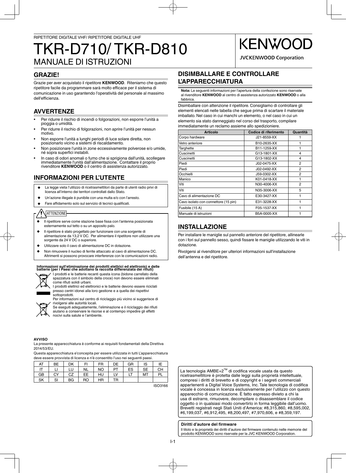## MANUALE DI ISTRUZIONI TKR-D710/ TKR-D810

## **GRAZIE!**

Grazie per aver acquistato il ripetitore **KENWOOD**. Riteniamo che questo ripetitore facile da programmare sarà molto efficace per il sistema di comunicazione in uso garantendo l'operatività del personale al massimo dell'efficienza.

## **AVVERTENZE**

- Per ridurre il rischio di incendi o folgorazioni, non esporre l'unità a pioggia o umidità.
- Per ridurre il rischio di folgorazioni, non aprire l'unità per nessun motivo.
- Non esporre l'unità a lunghi periodi di luce solare diretta, non posizionarlo vicino a sistemi di riscaldamento.
- Non posizionare l'unità in zone eccessivamente polverose e/o umide, né sopra superfici instabili.
- In caso di odori anomali o fumo che si sprigiona dall'unità, scollegare immediatamente l'unità dall'alimentazione. Contattare il proprio rivenditore **KENWOOD** o il centro di assistenza autorizzato.

## **INFORMAZIONI PER L'UTENTE**

- ◆ La legge vieta l'utilizzo di ricetrasmettitori da parte di utenti radio privi di licenza all'interno dei territori controllati dallo Stato.
- Un'azione illegale è punibile con una multa e/o con l'arresto.
- ◆ Fare affidamento solo sul servizio di tecnici qualificati.

## **ATTENZIONE**

- ◆ Il ripetitore serve come stazione base fissa con l'antenna posizionata esternamente sul tetto o su un apposito palo.
- Il ripetitore è stato progettato per funzionare con una sorgente di alimentazione da 13,2 V DC. Per alimentare il ripetitore non utilizzare una sorgente da 24 V DC o superiore.
- Utilizzare solo il cavo di alimentazione DC in dotazione.
- Non rimuovere il nucleo di ferrite attaccato al cavo di alimentazione DC. Altrimenti si possono provocare interferenze con le comunicazioni radio.

## Informazioni sull'eliminazione dei prodotti elettrici ed elettronici e delle<br>batterie (per i Paesi che adottano la raccolta differenziata dei rifiuti)



I prodotti e le batterie recanti questa icona (bidone carrellato della spazzatura con il simbolo della croce) non devono essere eliminati come rifiuti solidi urbani.

I prodotti elettrici ed elettronici e le batterie devono essere riciclati presso centri idonei alla loro gestione e a quella dei rispettivi sottoprodotti.



Se eseguiti adeguatamente, l'eliminazione e il riciclaggio dei rifiuti aiutano a conservare le risorse e al contempo impedire gli effetti nocivi sulla salute e l'ambiente.

#### **AVVISO**

La presente apparecchiatura è conforme ai requisiti fondamentali della Direttiva 2014/53/EU.

Questa apparecchiatura e'concepita per essere utilizzata in tutti L'apparecchiatura deve essere provvista di licenza e n'è consentito l'uso nei seguenti paesi.

| AT | ВE | DK | FI | <b>FR</b> | DE | GR | IS        | ΙE |
|----|----|----|----|-----------|----|----|-----------|----|
|    |    |    | NL | <b>NO</b> | PT | ES | <b>SE</b> | CH |
| GB | CY | CZ | EE | HU        | LV | LT | MT        | PI |
| SK | SI | ВG | RO | HR        | TR |    |           |    |

ISO3166

## **DISIMBALLARE E CONTROLLARE L'APPARECCHIATURA**

**Nota:** Le seguenti informazioni per l'apertura della confezione sono riservate al rivenditore **KENWOOD** al centro di assistenza autorizzato **KENWOOD** o alla fabbrica.

**KENWOG** 

**JVCKENWOOD Corporation** 

Disimballare con attenzione il ripetitore. Consigliamo di controllare gli elementi elencati nelle tabella che segue prima di scartare il materiale imballato. Nel caso in cui manchi un elemento, o nel caso in cui un elemento sia stato danneggiato nel corso del trasporto, compilare immediatamente un reclamo assieme allo spedizioniere.

| <b>Articolo</b>                      | Codice di riferimento | Quantità |
|--------------------------------------|-----------------------|----------|
| Corpo hardware                       | J21-8559-XX           |          |
| Vetro anteriore                      | B10-2635-XX           |          |
| Targhette                            | B11-1259-XX           |          |
| Cuscinetti                           | G13-1801-XX           | 4        |
| Cuscinetti                           | G13-1802-XX           | 4        |
| Piedi                                | J02-0475-XX           | 2        |
| Piedi                                | J02-0492-XX           | 2        |
| Occhielli                            | J59-0302-XX           | 2        |
| Manico                               | K01-0418-XX           |          |
| Viti                                 | N30-4006-XX           | 2        |
| Viti                                 | N35-3006-XX           | 5        |
| Cavo di alimentazione DC             | E30-3427-XX           |          |
| Cavo isolato con connettore (15 pin) | E31-3228-XX           |          |
| Fusibile (15 A)                      | F05-1537-XX           |          |
| Manuale di istruzioni                | B5A-0005-XX           |          |

## **INSTALLAZIONE**

Per installare le maniglie sul pannello anteriore del ripetitore, allinearle con i fori sul pannello sesso, quindi fissare le maniglie utilizzando le viti in dotazione.

Rivolgersi al rivenditore per ulteriori informazioni sull'installazione dell'antenna e del ripetitore.

La tecnologia AMBE+2<sup>™</sup> di codifica vocale usata da questo ricetrasmettitore è protetta dalle leggi sulla proprietà intellettuale, compresi i diritti di brevetto e di copyright e i segreti commerciali appartenenti a Digital Voice Systems. Inc. Tale tecnologia di codifica vocale è concessa in licenza esclusivamente per l'utilizzo con questo apparecchio di comunicazione. È fatto espresso divieto a chi la usa di estrarre, rimuovere, decompilare o disassemblare il codice oggetto o in qualsiasi modo convertirlo in forma leggibile dall'uomo. Brevetti registrati negli Stati Uniti d'America: #8,315,860, #8,595,002, #6,199,037, #6,912,495, #8,200,497, #7,970,606, e #8,359,197.

#### **Diritti d'autore del firmware**

Il titolo e la proprietà dei diritti d'autore del firmware contenuto nelle memorie del prodotto KENWOOD sono riservate per la JVC KENWOOD Corporation.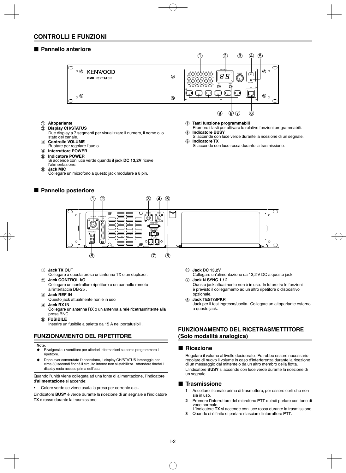#### ■ Pannello anteriore



- a **Altoparlante** b **Display CH/STATUS**
- Due display a 7 segmenti per visualizzare il numero, il nome o lo stato del canale.
- **3** Controllo VOLUME
- Ruotare per regolare l'audio.
- d **Interruttore POWER**
- e **Indicatore POWER**
- Si accende con luce verde quando il jack **DC 13,2V** riceve l'alimentazione.
- $(6)$  Jack MIC
	- Collegare un microfono a questo jack modulare a 8 pin.

## ■ Pannello posteriore



- Si accende con luce verde durante la ricezione di un segnale. i **Indicatore TX**
- Si accende con luce rossa durante la trasmissione.



#### a **Jack TX OUT**

- Collegare a questa presa un'antenna TX o un duplexer. b **Jack CONTROL I/O**
- Collegare un controllore ripetitore o un pannello remoto all'interfaccia DB-25 .
- **(3)** Jack REF IN
- Questo jack attualmente non è in uso. (4) Jack RX IN
- Collegare un'antenna RX o un'antenna a relè ricetrasmittente alla presa BNC.
- e **FUSIBILE**
- Inserire un fusibile a paletta da 15 A nel portafusibili.

## **FUNZIONAMENTO DEL RIPETITORE**

#### **Note:**

- ◆ Rivolgersi al rivenditore per ulteriori informazioni su come programmare il ripetitore.
- Dopo aver commutato l'accensione, il display CH/STATUS lampeggia per circa 30 secondi finché il circuito interno non si stabilizza. Attendere finché il display resta acceso prima dell'uso.

Quando l'unità viene collegata ad una fonte di alimentazione, l'indicatore d'**alimentazione** si accende:

• Colore verde se viene usata la presa per corrente c.c..

L'indicatore **BUSY** è verde durante la ricezione di un segnale e l'indicatore **TX** è rosso durante la trasmissione.

- f **Jack DC 13,2V**
- Collegare un'alimentazione da 13,2 V DC a questo jack. g **Jack N SYNC 1 / 2**

Questo jack attualmente non è in uso. In futuro tra le funzioni è previsto il collegamento ad un altro ripetitore o dispositivo opzionale.

h **Jack TEST/SPKR**

Jack per il test ingresso/uscita. Collegare un altoparlante esterno a questo jack.

### **FUNZIONAMENTO DEL RICETRASMETTITORE (Solo modalità analogica)**

#### ■ Ricezione

 Regolare il volume al livello desiderato. Potrebbe essere necessario regolare di nuovo il volume in caso d'interferenza durante la ricezione di un messaggio dal mittente o da un altro membro della flotta. L'indicatore **BUSY** si accende con luce verde durante la ricezione di un segnale.

#### ■ **Trasmissione**

- **1** Ascoltare il canale prima di trasmettere, per essere certi che non sia in uso.
- **2** Premere l'interruttore del microfono **PTT** quindi parlare con tono di voce normale.
- L'indicatore **TX** si accende con luce rossa durante la trasmissione. **3** Quando si è finito di parlare rilasciare l'interruttore PTT.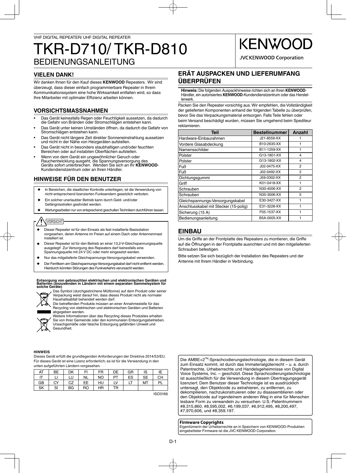## BEDIENUNGSANLEITUNG TKR-D710/ TKR-D810

## **VIELEN DANK!**

Wir danken Ihnen für den Kauf dieses **KENWOOD** Repeaters. Wir sind überzeugt, dass dieser einfach programmierbare Repeater in Ihrem Kommunikationssystem eine hohe Wirksamkeit entfalten wird, so dass Ihre Mitarbeiter mit optimaler Effizienz arbeiten können.

## **VORSICHTSMASSNAHMEN**

- Das Gerät keinesfalls Regen oder Feuchtigkeit aussetzen, da dadurch die Gefahr von Bränden oder Stromschlägen entstehen kann.
- Das Gerät unter keinen Umständen öffnen, da dadurch die Gefahr von Stromschlägen entstehen kann.
- Das Gerät nicht längere Zeit direkter Sonneneinstrahlung aussetzen und nicht in der Nähe von Heizgeräten aufstellen.
- Das Gerät nicht in besonders staubhaltigen und/oder feuchten Bereichen oder auf instabilen Oberflächen aufstellen.
- Wenn von dem Gerät ein ungewöhnlicher Geruch oder Rauchentwicklung ausgeht, die Spannungsversorgung des Geräts sofort unterbrechen. Wenden Sie sich an Ihr **KENWOOD**-Kundendienstzentrum oder an Ihren Händler.

## **HINWEISE FÜR DEN BENUTZER**

- In Bereichen, die staatlicher Kontrolle unterliegen, ist die Verwendung von nicht entsprechend lizenzierten Funksendern gesetzlich verboten.
- Ein solcher unerlaubter Betrieb kann durch Geld- und/oder Gefängnisstrafen geahndet werden.
- Wartungsarbeiten nur von entsprechend geschulten Technikern durchführen lassen.

## VORSICHT

- Dieser Repeater ist für den Einsatz als fest installierte Basisstation vorgesehen, deren Antenne im Freien auf einem Dach oder Antennenmast installiert ist.
- Dieser Repeater ist für den Betrieb an einer 13,2-V-Gleichspannungsquelle ausgelegt! Zur Versorgung des Repeaters darf keinesfalls eine Spannungsquelle mit 24 V DC oder mehr eingesetzt werden.
- Nur das mitgelieferte Gleichspannungs-Versorgungskabel verwenden.
- Der Ferritkern am Gleichspannungs-Versorgungskabel darf nicht entfernt werden. Hierdurch könnten Störungen des Funkverkehrs verursacht werden.

## **Entsorgung von gebrauchten elektrischen und elektronischen Geräten und Batterien (anzuwenden in Ländern mit einem separaten Sammelsystem für solche Geräte)**



Das Symbol (durchgestrichene Mülltonne) auf dem Produkt oder seiner Verpackung weist darauf hin, dass dieses Produkt nicht als normaler Haushaltsabfall behandelt werden darf.

Die betreffenden Produkte müssen an einer Annahmestelle für das Recycling von elektrischen und elektronischen Geräten und Batterien abgegeben werden.



Weitere Informationen über das Recycling dieses Produktes erhalten Sie von Ihrer Gemeinde oder den kommunalen Entsorgungsbetrieben. Unsachgemäße oder falsche Entsorgung gefährden Umwelt und Gesundheit.

#### **HINWEIS**

Dieses Gerät erfüllt die grundlegenden Anforderungen der Direktive 2014/53/EU. Für dieses Gerät ist eine Lizenz erforderlich; es ist für die Verwendung in den unten aufgeführten Ländern vorgesehen.

| AT | <b>BE</b> | DK | FI        | FR        | DE        | GR | IS        | ΙE        |
|----|-----------|----|-----------|-----------|-----------|----|-----------|-----------|
| IT |           | LU | <b>NL</b> | <b>NO</b> | <b>PT</b> | ES | <b>SE</b> | CН        |
| GB | CY        | CZ | EE        | HU        | LV        | LT | MT        | <b>PL</b> |
| SK | SI        | BG | RO        | ΗR        | TR        |    |           |           |

ISO3166

**ERÄT AUSPACKEN UND LIEFERUMFANG ÜBERPRÜFEN**

**KENWOO** 

**JVCKENWOOD Corporation** 

**Hinweis:** Die folgenden Auspackhinweise richten sich an Ihren **KENWOOD**-Händler, ein autorisiertes **KENWOOD**-Kundendienstzentrum oder das Herstellerwerk.

Packen Sie den Repeater vorsichtig aus. Wir empfehlen, die Vollständigkeit der gelieferten Komponenten anhand der folgenden Tabelle zu überprüfen, bevor Sie das Verpackungsmaterial entsorgen. Falls Teile fehlen oder beim Versand beschädigt wurden, müssen Sie umgehend beim Spediteur reklamieren.

| <b>Teil</b>                           | <b>Bestellnummer</b> | Anzahl         |
|---------------------------------------|----------------------|----------------|
| Hardware-Einbaurahmen                 | J21-8559-XX          |                |
| Vordere Glasabdeckung                 | B10-2635-XX          | 1              |
| Namensschilder                        | B11-1259-XX          |                |
| Polster                               | G13-1801-XX          | 4              |
| Polster                               | G13-1802-XX          | 4              |
| Fuß                                   | J02-0475-XX          | 2              |
| <b>Fuß</b>                            | J02-0492-XX          | $\overline{2}$ |
| Dichtungsgummi                        | J59-0302-XX          | $\overline{2}$ |
| Griff                                 | K01-0418-XX          | 1              |
| Schrauben                             | N30-4006-XX          | 2              |
| Schrauben                             | N35-3006-XX          | 5              |
| Gleichspannungs-Versorgungskabel      | E30-3427-XX          |                |
| Anschlusskabel mit Stecker (15-polig) | E31-3228-XX          | 1              |
| Sicherung (15 A)                      | F05-1537-XX          | 1              |
| Bedienungsanleitung                   | B5A-0005-XX          |                |

## **EINBAU**

Um die Griffe an der Frontplatte des Repeaters zu montieren, die Griffe auf die Öffnungen in der Frontplatte ausrichten und mit den mitgelieferten Schrauben befestigen.

Bitte setzen Sie sich bezüglich der Installation des Repeaters und der Antenne mit Ihrem Händler in Verbindung.

Die AMBE+2TM-Sprachcodierungstechnologie, die in diesem Gerät zum Einsatz kommt, ist durch das Immaterialgüterrecht – u. a. durch Patentrechte, Urheberrechte und Handelsgeheimnisse von Digital Voice Systems, Inc. – geschützt. Diese Sprachcodierungstechnologie ist ausschließlich für die Verwendung in diesem Übertragungsgerät lizenziert. Dem Benutzer dieser Technologie ist es ausdrücklich untersagt, den Objektcode zu extrahieren, zu entfernen, zu dekompilieren, nachzukonstruieren oder zu disassemblieren oder den Objektcode auf irgendeinem anderen Weg in eine für Menschen lesbare Form zu verwandeln zu versuchen. U.S.-Patentnummern #8,315,860, #8,595,002, #6,199,037, #6,912,495, #8,200,497, #7,970,606, und #8,359,197.

**Firmware Copyrights** Eigentümerin der Urheberrechte an in Speichern von KENWOOD-Produkten eingebetteter Firmware ist die JVC KENWOOD Corporation.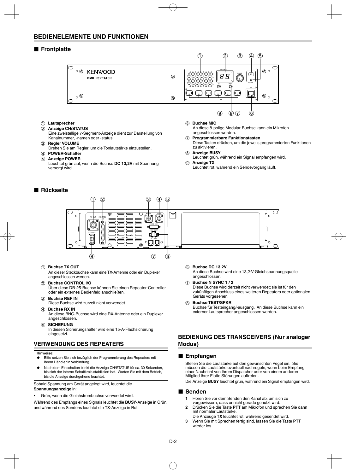## **BEDIENELEMENTE UND FUNKTIONEN**

#### ■ Frontplatte



- a **Lautsprecher**
- b **Anzeige CH/STATUS**
- Eine zweistellige 7-Segment-Anzeige dient zur Darstellung von Kanalnummer, -namen oder -status.
- **(3) Regler VOLUME**
- Drehen Sie am Regler, um die Tonlautstärke einzustellen.
- d **POWER-Schalter** e **Anzeige POWER**
	- Leuchtet grün auf, wenn die Buchse **DC 13,2V** mit Spannung versorgt wird.

### ■ **Rückseite**

#### $6$  Buchse MIC

An diese 8-polige Modular-Buchse kann ein Mikrofon angeschlossen werden.

- g **Programmierbare Funktionstasten**
- Diese Tasten drücken, um die jeweils programmierten Funktionen zu aktivieren.

#### h **Anzeige BUSY**

- Leuchtet grün, während ein Signal empfangen wird.
- **(9)** Anzeige TX
	- Leuchtet rot, während ein Sendevorgang läuft.



#### a **Buchse TX OUT**

An dieser Steckbuchse kann eine TX-Antenne oder ein Duplexer angeschlossen werden.

- b **Buchse CONTROL I/O**
	- Über diese DB-25-Buchse können Sie einen Repeater-Controller oder ein externes Bedienfeld anschließen.
- **(3) Buchse REF IN**

Diese Buchse wird zurzeit nicht verwendet.

- (4) **Buchse RX IN** An diese BNC-Buchse wird eine RX-Antenne oder ein Duplexer angeschlossen.
	- **SICHERUNG**

In diesen Sicherungshalter wird eine 15-A-Flachsicherung eingesetzt.

## **VERWENDUNG DES REPEATERS**

#### **Hinweise:**

- Bitte setzen Sie sich bezüglich der Programmierung des Repeaters mit Ihrem Händler in Verbindung.
- Nach dem Einschalten blinkt die Anzeige CH/STATUS für ca. 30 Sekunden, bis sich der interne Schaltkreis stabilisiert hat. Warten Sie mit dem Betrieb, bis die Anzeige durchgehend leuchtet.

Sobald Spannung am Gerät angelegt wird, leuchtet die **Spannungsanzeige** in:

• Grün, wenn die Gleichstrombuchse verwendet wird.

Während des Empfangs eines Signals leuchtet die **BUSY**-Anzeige in Grün, und während des Sendens leuchtet die **TX**-Anzeige in Rot.

- f **Buchse DC 13,2V** An diese Buchse wird eine 13.2-V-Gleichspannungsquelle angeschlossen.
	- Buchse N SYNC 1 / 2 Diese Buchse wird derzeit nicht verwendet; sie ist für den zukünftigen Anschluss eines weiteren Repeaters oder optionalen Geräts vorgesehen.
- h **Buchse TEST/SPKR** Buchse für Testeingang/-ausgang. An diese Buchse kann ein externer Lautsprecher angeschlossen werden.

#### **BEDIENUNG DES TRANSCEIVERS (Nur analoger Modus)**

#### ■ **Empfangen**

 Stellen Sie die Lautstärke auf den gewünschten Pegel ein. Sie müssen die Lautstärke eventuell nachregeln, wenn beim Empfang einer Nachricht von Ihrem Dispatcher oder von einem anderen Mitglied Ihrer Flotte Störungen auftreten.

Die Anzeige **BUSY** leuchtet grün, während ein Signal empfangen wird.

#### ■ Senden

- **1** Hören Sie vor dem Senden den Kanal ab, um sich zu vergewissern, dass er nicht gerade genutzt wird.
- **2** Drücken Sie die Taste **PTT** am Mikrofon und sprechen Sie dann mit normaler Lautstärke.
- Die Anzeuge **TX** leuchtet rot, während gesendet wird. **3** Wenn Sie mit Sprechen fertig sind, lassen Sie die Taste **PTT** wieder los.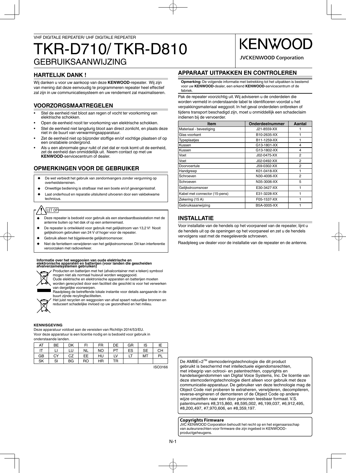## GEBRUIKSAANWIJZING TKR-D710/ TKR-D810

## **HARTELIJK DANK !**

Wij danken u voor uw aankoop van deze **KENWOOD**-repeater. Wij zijn van mening dat deze eenvoudig te programmeren repeater heel effectief zal zijn in uw communicatiesysteem en uw rendement zal maximaliseren.

## **VOORZORGSMAATREGELEN**

- Stel de eenheid niet bloot aan regen of vocht ter voorkoming van elektrische schokken.
- Open de eenheid nooit ter voorkoming van elektrische schokken.
- Stel de eenheid niet langdurig bloot aan direct zonlicht, en plaats deze niet in de buurt van verwarmingsapparatuur.
- Zet de eenheid niet op bijzonder stoffige en/of vochtige plaatsen of op een onstabiele ondergrond.
- Als u een abnormale geur ruikt of ziet dat er rook komt uit de eenheid, zet de eenheid dan onmiddellijk uit. Neem contact op met uw **KENWOOD**-servicecentrum of dealer.

## **OPMERKINGEN VOOR DE GEBRUIKER**

- De wet verbiedt het gebruik van zendontvangers zonder vergunning op overheidsterreinen.
- Onwettige bediening is strafbaar met een boete en/of gevangenisstraf.
- Laat onderhoud en reparatie uitsluitend uitvoeren door een vakbekwame technicus.

## LET OP

- ◆ Deze repeater is bedoeld voor gebruik als een standaardbasisstation met de antenne buiten op het dak of op een antennemast.
- De repeater is ontwikkeld voor gebruik met gelijkstroom van 13,2 V! Nooit gelijkstroom gebruiken van 24 V of hoger voor de repeater.
- Gebruik alleen het bijgeleverde gelijkstroomsnoer.
- Niet de ferrietkern verwijderen van het gelijkstroomsnoer. Dit kan interferentie veroorzaken met radioverkeer.

## **Informatie over het weggooien van oude elektrische en elektronische apparaten en batterijen (voor landen die gescheiden afvalverzamelsystemen gebruiken)**



Producten en batterijen met het (afvalcontainer met x-teken) symbool mogen niet als normaal huisvuil worden weggegooid. Oude elektrische en elektronische apparaten en batterijen moeten

- worden gerecycled door een faciliteit die geschikt is voor het verwerken van dergelijke voorwerpen.
- Raadpleeg de betreffende lokale instantie voor details aangaande in de



buurt zijnde recylingfaciliteiten. Het juist recyclen en weggooien van afval spaart natuurlijke bronnen en

reduceert schadelijke invloed op uw gezondheid en het milieu.

#### **KENNISGEVING**

Deze apparatuur voldoet aan de vereisten van Richtlijn 2014/53/EU. Voor deze apparatuur is een licentie nodig en is bedoeld voor gebruik in onderstaande landen.

| AT | BE | DK | FI        | <b>FR</b> | DE        | GR | IS |    |
|----|----|----|-----------|-----------|-----------|----|----|----|
| ıτ | LI | LU | <b>NL</b> | ΝO        | <b>PT</b> | ES | SE | сн |
| GB | CY | CZ | EE        | HU        | LV        | LT | МT | PL |
| SK | SI | ВG | RO        | <b>HR</b> | TR        |    |    |    |

ISO3166

## **APPARAAT UITPAKKEN EN CONTROLEREN**

**Opmerking:** De volgende informatie met betrekking tot het uitpakken is bestemd voor uw **KENWOOD**-dealer, een erkend **KENWOOD**-servicecentrum of de fabriek.

KENWO

**JVCKENWOOD Corporation** 

Pak de repeater voorzichtig uit. Wij adviseren u de onderdelen die worden vermeld in onderstaande tabel te identificeren voordat u het verpakkingsmateriaal weggooit. In het geval onderdelen ontbreken of tijdens transport beschadigd zijn, moet u onmiddellijk een schadeclaim indienen bij de vervoerder.

| <b>Item</b>                   | Onderdeelnummer | Aantal         |
|-------------------------------|-----------------|----------------|
| Materiaal - bevestiging       | J21-8559-XX     |                |
| Glas voorkant                 | B10-2635-XX     |                |
| <b>Typeplaatjes</b>           | B11-1259-XX     |                |
| Kussen                        | G13-1801-XX     | 4              |
| Kussen                        | G13-1802-XX     | 4              |
| Voet                          | J02-0475-XX     | 2              |
| Voet                          | J02-0492-XX     | 2              |
| Doorvoertule                  | J59-0302-XX     | 2              |
| Handgreep                     | K01-0418-XX     |                |
| Schroeven                     | N30-4006-XX     | $\overline{2}$ |
| Schroeven                     | N35-3006-XX     | 5              |
| Gelijkstroomsnoer             | E30-3427-XX     |                |
| Kabel met connector (15-pens) | E31-3228-XX     |                |
| Zekering (15 A)               | F05-1537-XX     |                |
| Gebruiksaanwijzing            | B5A-0005-XX     |                |

## **INSTALLATIE**

Voor installatie van de hendels op het voorpaneel van de repeater, lijnt u de hendels uit op de openingen op het voorpaneel en zet u de hendels vervolgens vast met de meegeleverde schroeven.

Raadpleeg uw dealer voor de installatie van de repeater en de antenne.



#### **Copyrights Firmware**

JVC KENWOOD Corporation behoudt het recht op en het eigenaarsschap van auteursrechten voor firmware die zijn ingebed in KENWOODproductgeheugens.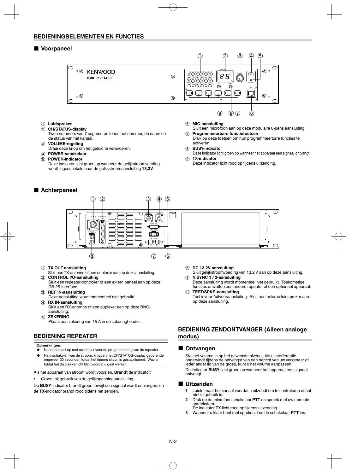#### **BEDIENINGSELEMENTEN EN FUNCTIES**

#### ■ **Voorpaneel**



a **Luidspreker**

#### b **CH/STATUS-display**

- Twee nummers van 7 segmenten tonen het nummer, de naam en de status van het kanaal.
- c **VOLUME-regeling**
- Draai deze knop om het geluid te veranderen.
- d **POWER-schakelaar**
- e **POWER-indicator**
	- Deze indicator licht groen op wanneer de gelijkstroomvoeding wordt ingeschakeld naar de gelijkstroomaansluiting **13,2V**.

#### ■ **Achterpaneel**

#### f **MIC-aansluiting**

- Sluit een microfoon aan op deze modulaire 8-pens aansluiting. g **Programmeerbare functietoetsen**
- Druk op deze toetsen om hun programmeerbare functies te activeren.
- **(8) BUSY-indicator**
- Deze indicator licht groen op wanneer het apparaat een signaal ontvangt. **(9)** TX-indicator
- Deze indicator licht rood op tijdens uitzending.



#### a **TX OUT-aansluiting**

- Sluit een TX-antenne of een duplexer aan op deze aansluiting. b **CONTROL I/O-aansluiting**
- Sluit een repeater-controller of een extern paneel aan op deze DB-25-interface.
- c **REF IN-aansluiting** Deze aansluiting wordt momenteel niet gebruikt.
- d **RX IN-aansluiting** Sluit een RX-antenne of een duplexer aan op deze BNCaansluiting.
- e **ZEKERING**

Plaats een zekering van 15 A in de zekeringhouder.

#### **BEDIENING REPEATER**

#### **Opmerkingen:**

- Neem contact op met uw dealer voor de programmering van de repeater.
- Na inschakelen van de stroom, knippert het CH/STATUS-display gedurende ongeveer 30 seconden totdat het interne circuit is gestabiliseerd. Wacht totdat het display verlicht blijft voordat u gaat werken..

Als het apparaat van stroom wordt voorzien, **Brandt** de indicator:

• Groen, bij gebruik van de gelijkspanningaansluiting.

De **BUSY**-indicator brandt groen terwijl een signaal wordt ontvangen, en de **TX**-indicator brandt rood tijdens het zenden.

- f **DC 13,2V-aansluiting**
- Sluit gelijkstroomvoeding van 13,2 V aan op deze aansluiting. g **N SYNC 1 / 2-aansluiting**
- Deze aansluiting wordt momenteel niet gebruikt. Toekomstige functies omvatten een andere repeater of een optioneel apparaat.
- h **TEST/SPKR-aansluiting** Test invoer-/uitvoeraansluiting. Sluit een externe luidspreker aan op deze aansluiting.

### **BEDIENING ZENDONTVANGER (Alleen analoge modus)**

#### ■ Ontvangen

 Stel het volume in op het gewenste niveau. Als u interferentie ondervindt tijdens de ontvangst van een bericht van uw verzender of ieder ander lid van de groep, kunt u het volume aanpassen. De indicator **BUSY** licht groen op wanneer het apparaat een signaal ontvangt.

#### ■ **Uitzenden**

- **1** Luister naar het kanaal voordat u uitzendt om te controleren of het niet in gebruik is.
- **2** Druk op de microfoonschakelaar **PTT** en spreek met uw normale spreekstem. De indicator **TX** licht rood op tijdens uitzending.
- **3** Wanneer u klaar bent met spreken, laat de schakelaar **PTT** los.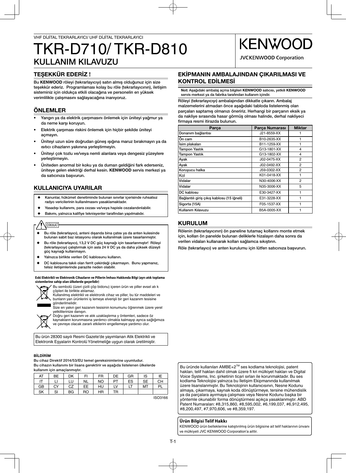## KULLANIM KILAVUZU TKR-D710/ TKR-D810

## TEŞEKKÜR EDERİZ !

Bu KENWOOD röleyi (tekrarlayıcıyı) satın almış olduğunuz için size teşekkür ederiz. Programlaması kolay bu röle (tekrarlayıcının), iletişim sisteminiz için oldukça etkili olacağına ve personelin en yüksek verimlilikle çalışmasını sağlayacağına inanıyoruz.

## ÖNLEMLER

- Yangın ya da elektrik çarpmasını önlemek için üniteyi yağmur ya da neme karşı koruyun.
- Elektrik çarpması riskini önlemek için hiçbir şekilde üniteyi açmayın.
- Üniteyi uzun süre doğrudan güneş ışığına maruz bırakmayın ya da ısıtıcı cihazların yakınına yerleştirmeyin.
- Üniteyi çok tozlu ve/veya nemli alanlara veya dengesiz yüzeylere yerleştirmeyin.
- Üniteden anormal bir koku ya da duman geldiğini fark ederseniz, üniteye gelen elektriği derhal kesin. KENWOOD servis merkezi ya da satıcınıza başvurun.

## KULLANICIYA UYARILAR

- Kanunlar, hükümet denetiminde bulunan sınırlar içerisinde ruhsatsız radyo vericilerinin kullanılmasını yasaklamaktadır.
- Yasadısı kullanımı, para cezası ve/veya hapisle cezalandırılabilir.
- ◆ Bakımı, yalnızca kalifiye teknisyenler tarafindan yapılmalıdır.

## DİKKAT

- Bu röle (tekrarlayıcı), anteni dışarıda bina çatısı ya da anten kulesinde bulunan sabit baz istasyonu olarak kullanılmak üzere tasarlanmıştır.
- Bu röle (tekrarlayıcı), 13,2 V DC güç kaynağı için tasarlanmıştır! Röleyi (tekrarlayıcıyı) çalıştırmak için asla 24 V DC ya da daha yüksek düzeyli güç kaynağı kullanmayın.
- Yalnızca birlikte verilen DC kablosunu kullanın.
- DC kablosuna takılı olan ferrit çekirdeği çıkarmayın. Bunu yapmanız, telsiz iletişimlerinde parazite neden olabilir.

#### **Eski Elektrikli ve Elektronik Cihazların ve Pillerin İmhası Hakkında Bilgi (ayrı atık toplama sistemlerine sahip olan ülkelerde geçerlidir)**



Bu sembolü (üzeri çizili çöp bidonu) içeren ürün ve piller evsel atı k çöpleri ile birlikte atılamaz.



Size en yakın geri kazanım tesisinin konumunu öğrenmek üzere yerel yetkililerinize danışın.



Doğru geri kazanım ve atık uzaklaştırma y öntemleri, sadece öz kaynakların korunmasına yardımcı olmakla kalmayıp ayrıca sağlığımıza

ve çevreye olacak zararlı etkilerini engellemeye yardımcı olur.

Bu ürün 28300 sayılı Resmi Gazete'de yayımlanan Atik Elektrikli ve Elektronik Eşyalarin Kontrolü Yönetmeliğe uygun olarak üretilmiştir.

#### BİLDİRİM

Bu cihaz Direktif 2014/53/EU temel gereksinimlerine uyumludur. Bu cihazın kullanımı bir lisans gerektirir ve aşağıda listelenen ülkelerde kullanım için amaçlanmıştır.

| AT | BE | DK | FI        | <b>FR</b> | DE | GR | IS        | IΕ |
|----|----|----|-----------|-----------|----|----|-----------|----|
|    |    | LU | <b>NL</b> | <b>NO</b> | PT | ES | <b>SE</b> | CH |
| GВ | CY | CZ | EE.       | HU        | LV | ы  | MT        | Pl |
| SK | SI | BG | RO        | HR        | TR |    |           |    |

ISO3166

**KENWO** 

**JVCKENWOOD Corporation** 

#### EKİPMANIN AMBALAJINDAN ÇIKARILMASI VE KONTROL EDİLMESİ

Not: Aşağıdaki ambalaj açma bilgileri KENWOOD satıcısı, yetkili KENWOOD servis merkezi ya da fabrika tarafından kullanım içindir.

Röleyi (tekrarlayıcıyı) ambalajından dikkatle çıkarın. Ambalaj malzemelerini atmadan önce aşağıdaki tabloda listelenmiş olan parçaları saptamış olmanızı öneririz. Herhangi bir parçanın eksik ya da nakliye sırasında hasar görmüş olması halinde, derhal nakliyeci firmaya resmi itirazda bulunun.

| Parça                                      | Parca Numarası | <b>Miktar</b>  |
|--------------------------------------------|----------------|----------------|
| Donanım bağlantısı                         | J21-8559-XX    |                |
| ∣Ön cam                                    | B10-2635-XX    |                |
| İsim plakaları                             | B11-1259-XX    |                |
| <b>Tampon Yastık</b>                       | G13-1801-XX    | 4              |
| <b>Tampon Yastık</b>                       | G13-1802-XX    | 4              |
| Ayak                                       | J02-0475-XX    | $\overline{2}$ |
| Ayak                                       | J02-0492-XX    | 2              |
| Koruyucu halka                             | J59-0302-XX    | 2              |
| Kol                                        | K01-0418-XX    | 1              |
| Vidalar                                    | N30-4006-XX    | 2              |
| Vidalar                                    | N35-3006-XX    | 5              |
| DC kablosu                                 | E30-3427-XX    | 1              |
| Bağlantılı giriş çıkış kablosu (15 iğneli) | E31-3228-XX    | 1              |
| Sigorta (15A)                              | F05-1537-XX    |                |
| Kullanım Kılavuzu                          | B5A-0005-XX    | 1              |

## KURULUM

Rölenin (tekrarlayıcının) ön paneline tutamaç kollarını monte etmek için, kolları ön panelde bulunan deliklerle hizalayın daha sonra da verilen vidaları kullanarak kolları sağlamca sıkıştırın.

Röle (tekrarlayıcı) ve anten kurulumu için lütfen satıcınıza başvurun.

Bu üründe kullanılan AMBE+2™ ses kodlama teknolojisi, patent hakları, telif hakları dahil olmak üzere fi kri mülkiyet hakları ve Digital Voice Systems, Inc. şirketinin ticari sırları ile korunmaktadır. Bu ses kodlama Teknolojisi yalnızca bu İletişim Ekipmanında kullanılmak üzere lisanslanmıştır. Bu Teknolojinin kullanıcısının, Nesne Kodunu almaya, çıkarmaya, kaynak koda dönüştürmeye, tersine mühendislik ya da parçalara ayırmaya çalışması veya Nesne Kodunu başka bir yöntemle okunabilir forma dönüştürmesi açıkça yasaklanmıştır. ABD Patent Numaraları: #8,315,860, #8,595,002, #6,199,037, #6,912,495, #8,200,497, #7,970,606, ve #8,359,197.

#### **Ürün Bilgisi Telif Hakkı**

KENWOOD ürün belleklerine katıştırılmış ürün bilgisine ait telif haklarının ünvanı ve mülkiyeti JVC KENWOOD Corporation'a aittir.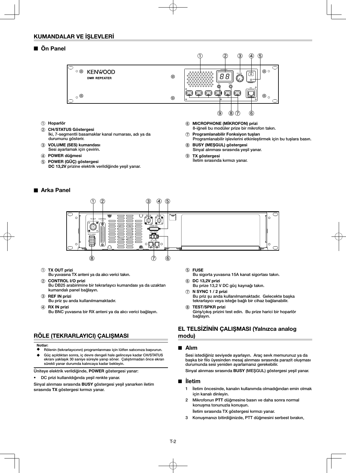### ■ Ön Panel



- a Hoparlör
- 2 CH/STATUS Göstergesi İki, 7-segmentli basamaklar kanal numarası, adı ya da durumunu gösterir.
- 3 VOLUME (SES) kumandası Sesi ayarlamak için çevirin.
- (4) POWER düğmesi
- e POWER (GÜÇ) göstergesi
- DC 13,2V prizine elektrik verildiğinde yeşil yanar.

#### ■ Arka Panel



#### a TX OUT prizi

Bu yuvasına TX anteni ya da alıcı verici takın.

- 2 CONTROL I/O prizi Bu DB25 arabirimine bir tekrarlayıcı kumandası ya da uzaktan kumandalı panel bağlayın.
- 3 REF IN prizi
- Bu priz şu anda kullanılmamaktadır.
- (4) RX IN prizi
- Bu BNC yuvasına bir RX anteni ya da alıcı verici bağlayın.

## RÖLE (TEKRARLAYICI) ÇALIŞMASI

#### Notlar:

- Rölenin (tekrarlayıcının) programlanması için lütfen satıcınıza başvurun. ◆ Güç açıldıktan sonra, iç devre dengeli hale gelinceye kadar CH/STATUS
- ekranı yaklaşık 30 saniye süreyle yanıp söner. Çalıştırmadan önce ekran sürekli yanar durumda kalıncaya kadar bekleyin.

Üniteye elektrik verildiğinde, POWER göstergesi yanar:

• DC prizi kullanıldığında yeşil renkte yanar.

Sinyal alınması sırasında BUSY göstergesi yeşil yanarken iletim sırasında TX göstergesi kırmızı yanar.

- **(5) FUSE**
- Bu sigorta yuvasına 15A kanat sigortası takın.

8-iğneli bu modüler prize bir mikrofon takın.

Programlanabilir işlevlerini etkinleştirmek için bu tuşlara basın.

g Programlanabilir Fonksiyon tuşları

Sinyal alınması sırasında yeşil yanar.

h BUSY (MEŞGUL) göstergesi

İletim sırasında kırmızı yanar.

**9** TX göstergesi

- f DC 13,2V prizi Bu prize 13,2 V DC güç kaynağı takın.
- g **N** SYNC 1 / 2 prizi Bu priz şu anda kullanılmamaktadır. Gelecekte başka tekrarlayıcı veya isteğe bağlı bir cihaz bağlanabilir.
- **(8) TEST/SPKR prizi** Giriş/çıkış prizini test edin. Bu prize harici bir hoparlör bağlayın.

## EL TELSİZİNİN ÇALIŞMASI (Yalnızca analog modu)

#### ■ Alım

 Sesi istediğiniz seviyede ayarlayın. Araç sevk memurunuz ya da başka bir filo üyesinden mesaj alınması sırasında parazit oluşması durumunda sesi yeniden ayarlamanız gerekebilir.

Sinyal alınması sırasında BUSY (MEŞGUL) göstergesi yeşil yanar.

#### ■ İletim

- 1 İletim öncesinde, kanalın kullanımda olmadığından emin olmak için kanalı dinleyin.
- 2 Mikrofonun PTT düğmesine basın ve daha sonra normal konuşma tonunuzla konuşun.

İletim sırasında TX göstergesi kırmızı yanar.

3 Konuşmanızı bitirdiğinizde, PTT düğmesini serbest bırakın.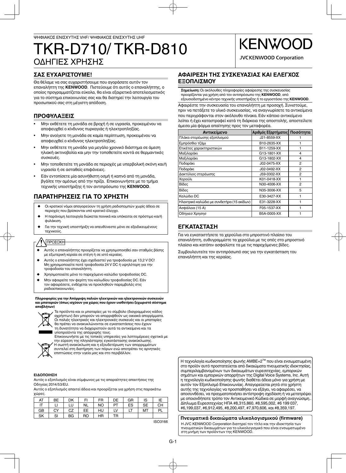## ΟΔΗΓΙΕΣ ΧΡΗΣΗΣ TKR-D710/ TKR-D810

## **ΣΑΣ ΕΥΧΑΡΙΣΤΟΥΜΕ!**

Θα θέλαμε να σας ευχαριστήσουμε που αγοράσατε αυτόν τον επαναλήπτη της **KENWOOD**. Πιστεύουμε ότι αυτός ο επαναλήπτης, ο οποίος προγραμματίζεται εύκολα, θα είναι εξαιρετικά αποτελεσματικός για το σύστημα επικοινωνίας σας και θα διατηρεί την λειτουργία του προσωπικού σας στη μέγιστη απόδοση.

## **ΠΡΟΦΥΛΑΞΕΙΣ**

- Μην εκθέτετε τη μονάδα σε βροχή ή σε υγρασία, προκειμένου να αποφευχθεί ο κίνδυνος πυρκαγιάς ή ηλεκτροπληξίας.
- Μην ανοίγετε τη μονάδα σε καμία περίπτωση, προκειμένου να αποφευχθεί ο κίνδυνος ηλεκτροπληξίας.
- Μην εκθέτετε τη μονάδα για μεγάλο χρονικό διάστημα σε άμεση ηλιακή ακτινοβολία και μην την τοποθετείτε κοντά σε θερμαντικές συσκευές.
- Μην τοποθετείτε τη μονάδα σε περιοχές με υπερβολική σκόνη και/ή υγρασία ή σε ασταθείς επιφάνειες.
- Εάν εντοπίσετε μία ασυνήθιστη οσμή ή καπνό από τη μονάδα, βγάλτε την αμέσως από την πρίζα. Επικοινωνήστε με το τμήμα τεχνικής υποστήριξης ή τον αντιπρόσωπο της **KENWOOD**.

## **ΠΑΡΑΤΗΡΗΣΕΙΣ ΓΙΑ ΤΟ ΧΡΗΣΤΗ**

- Οι κρατικοί νόμοι απαγορεύουν τη χρήση ραδιοπομπών χωρίς άδεια σε περιοχές που βρίσκονται υπό κρατικό έλεγχο.
- Η παράνομη λειτουργία διώκεται ποινικά και υπόκειται σε πρόστιμο και/ή φυλάκιση.
- Για την τεχνική υποστήριξη να απευθύνεστε μόνο σε εξειδικευμένους τεχνικούς.

## ΠΡΟΣΟΧΗ

- ◆ Αυτός ο επαναλήπτης προορίζεται να χρησιμοποιηθεί σαν σταθμός βάσης με εξωτερική κεραία σε στέγη ή σε ιστό κεραίας.
- Αυτός ο επαναλήπτης έχει σχεδιαστεί για τροφοδοσία με 13,2 V DC! Μη χρησιμοποιείτε ποτέ τροφοδοσία 24 V DC ή υψηλότερη για την τροφοδοσία του επαναλήπτη.
- ◆ Χρησιμοποιείτε μόνο το παρεχόμενο καλώδιο τροφοδοσίας DC.
- Μην αφαιρείτε τον φερίτη του καλωδίου τροφοδοσίας DC. Εάν τον αφαιρέσετε, ενδέχεται να προκληθούν παρεμβολές στις ραδιοεπικοινωνίες.

**Πληροφορίες για την Απόρριψη παλιών ηλεκτρικών και ηλεκτρονικών συσκευών και μπαταριών (όπως ισχύουν για χώρες που έχουν υιοθετήσει ξεχωριστό σύστημα αποβλήτων)**



Τα προϊόντα και οι μπαταρίες με το σύμβολο (διαγραμμένος κάδος αχρήστων) δεν μπορούν να απορριφθούν ως οικιακά απορρίμματα. Οι παλιές ηλεκτρικές και ηλεκτρονικές συσκευές και οι μπαταρίες θα πρέπει να ανακυκλώνονται σε εγκαταστάσεις που έχουν τη δυνατότητα να διαχειριστούν αυτά τα αντικείμενα και τα

υποπροϊόντα της απόρριψής τους. Επικοινωνήστε με τις τοπικές υπηρεσίες για λεπτομέρειες σχετικά με την εύρεση της πλησιέστερης εγκατάστασης ανακύκλωσης.

Η σωστή ανακύκλωση και η εξουδετέρωση των απορριμμάτων συντελεί στη διατήρηση των πόρων ενώ αποτρέπει τις αρνητικές επιπτώσεις στην υγεία μας και στο περιβάλλον.

#### **ΕΙΔΟΠΟΙΗΣΗ**

Αυτός ο εξοπλισμός είναι σύμφωνος με τις απαραίτητες απαιτήσεις της Οδηγίας 2014/53/EU.

Αυτός ο εξοπλισμός απαιτεί άδεια και προορίζεται για χρήση στις παρακάτω χώρες.

| AT | BE | DK | FI        | <b>FR</b> | DE        | GR | IS  | IE        |
|----|----|----|-----------|-----------|-----------|----|-----|-----------|
|    |    | LU | <b>NL</b> | <b>NO</b> | <b>PT</b> | ES | SE. | <b>CH</b> |
| GB | CY | CZ | EE.       | HU        | LV        | LT | MT  | <b>PL</b> |
| SK | SI | BG | RO        | HR.       | ТR        |    |     |           |

ISO3166

### **ΑΦΑΙΡΕΣΗ ΤΗΣ ΣΥΣΚΕΥΑΣΙΑΣ ΚΑΙ ΕΛΕΓΧΟΣ ΕΞΟΠΛΙΣΜΟΥ**

**Σημείωση:** Οι ακόλουθες πληροφορίες αφαίρεσης της συσκευασίας προορίζονται για χρήση από τον αντιπρόσωπο της **KENWOOD**, από εξουσιοδοτημένο κέντρο τεχνικής υποστήριξης ή το εργοστάσιο της **KENWOOD**.

**KENWOG** 

**JVCKENWOOD Corporation** 

Αφαιρέστε την συσκευασία του επαναλήπτη με προσοχή. Συνιστούμε, πριν να πετάξετε το υλικό συσκευασίας, να αναγνωρίσετε τα αντικείμενα που περιγράφονται στον ακόλουθο πίνακα. Εάν κάποιο αντικείμενο λείπει ή έχει καταστραφεί κατά τη διάρκεια της αποστολής, αποστείλετε άμεσα μία φόρμα απαίτησης προς τον μεταφορέα.

| Αντικείμενο                                | Αριθμός Εξαρτήματος | Ποσότητα |
|--------------------------------------------|---------------------|----------|
| Πλάκα στερέωσης εξοπλισμού                 | J21-8559-XX         |          |
| Εμπρόσθιο τζάμι                            | B10-2635-XX         |          |
| Ετικέτες χαρακτηριστικών                   | B11-1259-XX         |          |
| Μαξιλαράκι                                 | G13-1801-XX         | 4        |
| Μαξιλαράκι                                 | G13-1802-XX         | 4        |
| Ποδαράκι                                   | J02-0475-XX         | 2        |
| Ποδαράκι                                   | J02-0492-XX         | 2        |
| Δακτύλιος στερέωσης                        | J59-0302-XX         | 2        |
| Χερούλι                                    | K01-0418-XX         | 1        |
| Βίδες                                      | N30-4006-XX         | 2        |
| Βίδες                                      | N35-3006-XX         | 5        |
| Καλώδιο DC                                 | E30-3427-XX         |          |
| Ηλεκτρικό καλώδιο με συνδετήρα (15 ακίδων) | E31-3228-XX         | 1        |
| Ασφάλεια (15 Α)                            | F05-1537-XX         |          |
| Οδηγιεσ Χρησησ                             | B5A-0005-XX         | 1        |

## **ΕΓΚΑΤΑΣΤΑΣΗ**

Για να εγκαταστήσετε τα χερούλια στο μπροστινό πλαίσιο του επαναλήπτη, ευθυγραμμίστε τα χερούλια με τις οπές στο μπροστινό πλαίσιο και κατόπιν ασφαλίστε τα με τις παρεχόμενες βίδες.

Συμβουλευτείτε τον αντιπρόσωπό σας για την εγκατάσταση του επαναλήπτη και της κεραίας.

Η τεχνολογία κωδικοποίησης φωνής AMBE+2<sup>™</sup> που είναι ενσωματωμένη στο προϊόν αυτό προστατεύεται από δικαιώματα πνευματικής ιδιοκτησίας, συμπεριλαμβανομένων των δικαιωμάτων ευρεσιτεχνίας, εμπορικών σημάτων και εμπορικών απορρήτων της Digital Voice Systems, Inc. Αυτή η τεχνολογία κωδικοποίησης φωνής διαθέτει άδεια μόνο για χρήση με αυτόν τον Εξοπλισμό Επικοινωνίας. Απαγορεύεται ρητά στο χρήστη αυτής της τεχνολογίας να προσπαθήσει να εξάγει, να αφαιρέσει, να αποσυνθέσει, να πραγματοποιήσει αντίστροφη σχεδίαση ή να μετατρέψει με οποιονδήποτε τρόπο τον Αντικειμενικό Κώδικα σε μορφή αναγνώσιμη.. Δίπλωμα Ευρεσιτεχνίας ΗΠΑ #8,315,860, #8,595,002, #6 199 037, #6,199,037, #6,912,495, #8,200,497, #7,970,606, και #8,359,197.

**Πνευματικά δικαιώματα υλικολογισμικού (fi rmware)** Η JVC KENWOOD Corporation διατηρεί τον τίτλο και την ιδιοκτησία των πνευματικών δικαιωμάτων για το υλικολογισμικό που είναι ενσωματωμένο στη μνήμη των προϊόντων της KENWOOD.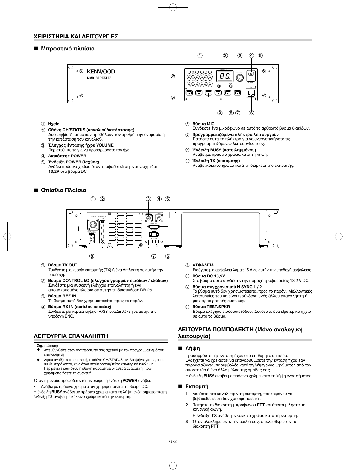#### **ΧΕΙΡΙΣΤΗΡΙΑ ΚΑΙ ΛΕΙΤΟΥΡΓΙΕΣ**

#### ■ **Μπροστινό πλαίσιο**



- a **Ηχείο**
- b **Οθόνη CH/STATUS (καναλιού/κατάστασης)** Δύο ψηφία 7 τμημάτων προβάλουν τον αριθμό, την ονομασία ή την κατάσταση του καναλιού.
- c **Έλεγχος έντασης ήχου VOLUME** Περιστρέψτε το για να προσαρμόσετε τον ήχο.
- d **Διακόπτης POWER**
- e **Ένδειξη POWER (Ισχύος)**
- Ανάβει πράσινο χρώμα όταν τροφοδοτείται με συνεχή τάση **13,2V** στο βύσμα DC.

## ■ **Οπίσθιο Πλαίσιο**



- Συνδέστε ένα μικρόφωνο σε αυτό το αρθρωτό βύσμα 8 ακίδων.
- g **Προγραμματιζόμενα πλήκτρα λειτουργιών** Πατήστε αυτά τα πλήκτρα για να ενεργοποιήσετε τις προγραμματιζόμενες λειτουργίες τους.
- h **Ένδειξη BUSY (κατειλημμένου)** Ανάβει με πράσινο χρώμα κατά τη λήψη.
- i **Ένδειξη TX (εκπομπής)** Ανάβει κόκκινο χρώμα κατά τη διάρκεια της εκπομπής.



#### a **Βύσμα TX OUT**

Συνδέστε μία κεραία εκπομπής (TX) ή ένα Διπλέκτη σε αυτήν την υποδοχή.

- b **Βύσμα CONTROL I/O (ελέγχου γραμμών εισόδων / εξόδων)** Συνδέστε μία συσκευή ελέγχου επαναλήπτη ή ένα απομακρυσμένο πλαίσιο σε αυτήν τη διασύνδεση DB-25.
- c **Βύσμα REF IN** Το βύσμα αυτό δεν χρησιμοποιείται προς το παρόν.
- d **Βύσμα RX IN (εισόδου κεραίας)** Συνδέστε μία κεραία λήψης (RX) ή ένα Διπλέκτη σε αυτήν την υποδοχή BNC.

## **ΛΕΙΤΟΥΡΓΙΑ ΕΠΑΝΑΛΗΠΤΗ**

#### **Σημειώσεις:**

- ◆ Απευθυνθείτε στον αντιπρόσωπό σας σχετικά με τον προγραμματισμό του επαναλήπτη.
- Αφού ανοίξετε τη συσκευή, η οθόνη CH/STATUS αναβοσβήνει για περίπου 30 δευτερόλεπτα, έως ότου σταθεροποιηθεί το εσωτερικό κύκλωμα. Περιμένετε έως ότου η οθόνη παραμείνει σταθερά αναμμένη, πριν χρησιμοποιήσετε τη συσκευή.

Όταν η μονάδα τροφοδοτείται με ρεύμα, η ένδειξη **POWER** ανάβει:

• Ανάβει με πράσινο χρώμα όταν χρησιμοποιείται το βύσμα DC.

Η ένδειξη **BUSY** ανάβει με πράσινο χρώμα κατά τη λήψη ενός σήματος και η ένδειξη **TX** ανάβει με κόκκινο χρώμα κατά την εκπομπή.

#### e **ΑΣΦΑΛΕΙΑ**

- Εισάγετε μία ασφάλεια λάμας 15 Α σε αυτήν την υποδοχή ασφάλειας. f **Βύσμα DC 13,2V**
- Στο βύσμα αυτό συνδέστε την παροχή τροφοδοσίας 13,2 V DC. g **Βύσμα συγχρονισμού N SYNC 1 / 2**
- Το βύσμα αυτό δεν χρησιμοποιείται προς το παρόν. Μελλοντικές λειτουργίες του θα είναι η σύνδεση ενός άλλου επαναλήπτη ή μιας προαιρετικής συσκευής.
- h **Βύσμα TEST/SPKR**

Βύσμα ελέγχου εισόδου/εξόδου. Συνδέστε ένα εξωτερικό ηχείο σε αυτό το βύσμα.

### **ΛΕΙΤΟΥΡΓΙΑ ΠΟΜΠΟΔΕΚΤΗ (Μόνο αναλογική λειτουργία)**

#### ■ **Λήψη**

 Προσαρμόστε την ένταση ήχου στο επιθυμητό επίπεδο. Ενδέχεται να χρειαστεί να επαναρυθμίσετε την ένταση ήχου εάν παρουσιάζονται παρεμβολές κατά τη λήψη ενός μηνύματος από τον αποστολέα ή ένα άλλο μέλος της ομάδας σας.

Η ένδειξη **BUSY** ανάβει με πράσινο χρώμα κατά τη λήψη ενός σήματος.

#### ■ **Εκπομπή**

- **1** Ακούστε στο κανάλι πριν τη εκπομπή, προκειμένου να βεβαιωθείτε ότι δεν χρησιμοποιείται.
- **2** Πατήστε το διακόπτη μικροφώνου **PTT** και έπειτα μιλήστε με κανονική φωνή.
	- Η ένδειξη **TX** ανάβει με κόκκινο χρώμα κατά τη εκπομπή.
- **3** Όταν ολοκληρώσετε την ομιλία σας, απελευθερώστε το διακόπτη **PTT**.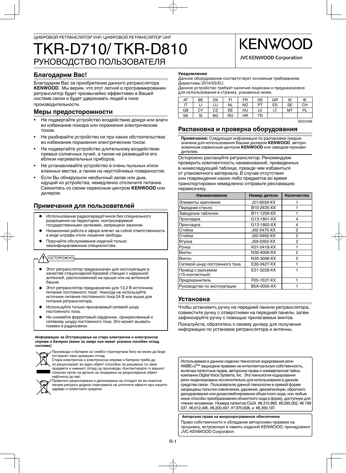## РУКОВОДСТВО ПОЛЬЗОВАТЕЛЯ TKR-D710/ TKR-D810

## **Благодарим Вас!**

Благодарим Вас за приобретение данного ретранслятора **KENWOOD**. Мы верим, что этот легкий в программировании ретранслятор будет чрезвычайно эффективен в Вашей системе связи и будет удерживать людей в пике

производительности.

## **Меры предосторожности**

- Не подвергайте устройство воздействию дождя или влаги во избежание пожара или поражения электрическим током.
- Не разбирайте устройство ни при каких обстоятельствах во избежание поражения электрическим током.
- Не подвергайте устройство длительному воздействию прямых солнечных лучей, а также не размещайте его вблизи нагревательных приборов.
- Не устанавливайте устройство в очень пыльных и/или влажных местах, а также на неустойчивых поверхностях.
- Если Вы обнаружили необычный запах или дым, идущий из устройства, немедленно отключите питание. Свяжитесь со своим сервисным центром **KENWOOD** или дилером.

## **Примечания для пользователей**

- Использование радиопередатчиков без специального разрешения на территории, контролируемой государственными органами, запрещено законом.
- Незаконная работа в эфире влечет за собой ответственность в виде штрафа и/или лишения свободы.
- Поручайте обслуживание изделий только квалифицированным специалистам.

## **ОСТОРОЖНО**

- ◆ Этот ретранслятор предназначен для эксплуатации в качестве стационарной базовой станции с наружной антенной, расположенной на крыше или на антенной башне.
- Этот ретранслятор предназначен для 13,2 В источника питания постоянного тока! Никогда не используйте источник питания постоянного тока 24 В или выше для питания ретранслятора.
- Используйте только прилагаемый сетевой шнур постоянного тока.
- Не снимайте ферритовый сердечник, прикрепленный к сетевому шнуру постоянного тока. Это может вызвать помехи в радиосвязи.

**Информации за Отстранување на стара електрична и електронска опрема и батерии (важи за земји кои имаат усвоено посебен отпад системи)**



 Производи и батерии со симбол (пречкртана бин) не може да биде отстранет како домашен отпад.

Стара електрична и електронска опрема и батерии треба да се рециклираат во еден објект способни за ракување со овие предмети и нивниот отпад од производи. Контактирајте го вашиот локален орган за детали за лоцирање на рециклирање објект најблиску до вас.



Правилно рециклирање и депонирање на отпадот ќе ви помогне зачува ресурси додека спречување на штетните ефекти врз нашето здравје и животната средина.

#### **Уведомление**

Данное оборудование соответствует основным требованиям Директивы 2014/53/EU.

Данное устройство требует наличия лицензии и предназначено для использования в странах, указанных ниже.

| AT | BЕ | DK | FI        | <b>FR</b> | DE        | GR | IS        |           |
|----|----|----|-----------|-----------|-----------|----|-----------|-----------|
|    |    | LU | <b>NL</b> | <b>NO</b> | <b>PT</b> | ES | <b>SE</b> | <b>CH</b> |
| GB | CY | CZ | EE.       | HU        | LV        | LI | МT        | PL        |
| SK | SI | BG | RO        | <b>HR</b> | TR        |    |           |           |

**KENWOG** 

**JVCKENWOOD Corporation** 

ISO3166

## **Распаковка и проверка оборудования**

**Примечание:** Следующая информация по распаковке предназначена для использования Вашим дилером **KENWOOD**, авторизованным сервисным центром **KENWOOD** или заводом-производителем.

Осторожно распакуйте ретранслятор. Рекомендуем проверить комплектность наименований, приведенных в нижеследующей таблице, прежде чем избавиться от упаковочного материала. В случае отсутствия или повреждения каких-либо предметов во время транспортировки немедленно отправьте рекламацию перевозчику.

| <b>Наименование</b>                  | Номер детали | Количество |
|--------------------------------------|--------------|------------|
| Элементы крепления                   | J21-8559-XX  |            |
| Переднее стекло                      | B10-2635-XX  | 1          |
| Заводские таблички                   | B11-1259-XX  |            |
| Прокладка                            | G13-1801-XX  | 4          |
| Прокладка                            | G13-1802-XX  | 4          |
| Стойка                               | J02-0475-XX  | 2          |
| Стойка                               | J02-0492-XX  | 2          |
| Втулка                               | J59-0302-XX  | 2          |
| Ручка                                | K01-0418-XX  |            |
| Винты                                | N30-4006-XX  | 2          |
| Винты                                | N35-3006-XX  | 5          |
| Сетевой шнур постоянного тока        | E30-3427-XX  |            |
| Провод с разъемом<br>(15-контактный) | E31-3228-XX  |            |
| Предохранитель                       | F05-1537-XX  |            |
| Руководство по эксплуатации          | B5A-0005-XX  |            |

## **Установка**

Чтобы установить ручку на передней панели ретранслятора, совместите ручку с отверстиями на передней панели, затем зафиксируйте ручку с помощью прилагаемых винтов.

Пожалуйста, обратитесь к своему дилеру для получения информации по установке ретранслятора и антенны.

Используемая в данном изделии технология кодирования речи AMBE+2™ защищена правами на интеллектуальную собственность, включая патентные права, авторские права и коммерческие тайны компании Digital Voice Systems, Inc. Эта технология кодирования речи лицензирована исключительно для использования в данном средстве связи. Пользователю данной технологии в прямой форме запрещены попытки извлечения, удаления, декомпиляции, обратного декодирования или дизассемблирования объектного кода, или любые иные способы преобразования объектного кода в форму, доступную для чтения человеком. Номера патентов США #8,315,860, #8,595,002, #6 199 037, #6,912,495, #8,200,497, #7,970,606, и #8,359,197.

**Авторские права на микропрограммное обеспечение** Право собственности и обладание авторскими правами на прошивку, встроенную в память изделий KENWOOD, принадлежит JVC KENWOOD Corporation.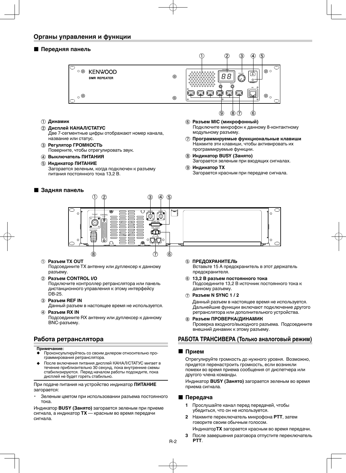### ■ **Передняя панель**



- a **Динамик**
- b **Дисплей КАНАЛ/СТАТУС** Две 7-сегментные цифры отображают номер канала, название или статус.
- c **Регулятор ГРОМКОСТЬ** Поверните, чтобы отрегулировать звук.
- d **Выключатель ПИТАНИЯ**
- e **Индикатор ПИТАНИЕ**
	- Загорается зеленым, когда подключен к разъему питания постоянного тока 13,2 В.

### ■ **Задняя панель**

- f **Разъем MIC (микрофонный)** Подключите микрофон к данному 8-контактному модульному разъему.
- g **Программируемые функциональные клавиши** Нажмите эти клавиши, чтобы активировать их программируемые функции.
- h **Индикатор BUSY (Занято)** Загорается зеленым при входящих сигналах.
- i **Индикатор TX** Загорается красным при передаче сигнала.



#### a **Разъем TХ OUT**

Подсоедините TХ антенну или дуплексер к данному разъему.

#### b **Разъем CONTROL I/O**

Подключите контроллер ретранслятора или панель дистанционного управления к этому интерфейсу DB-25.

**(3) Разъем REF IN** 

Данный разъем в настоящее время не используется.

d **Разъем RX IN**

Подсоедините RX антенну или дуплексер к данному BNC-разъему.

## **Работа ретранслятора**

#### **Примечание:**

- ◆ Проконсультируйтесь со своим дилером относительно программирования ретранслятора.
- После включения питания дисплей КАНАЛ/СТАТУС мигает в течение приблизительно 30 секунд, пока внутренние схемы стабилизируются. Перед началом работы подождите, пока дисплей не будет гореть стабильно.

При подаче питания на устройство индикатор **ПИТАНИЕ** загорается:

Зеленым цветом при использовании разъема постоянного тока.

Индикатор **BUSY (Занято)** загорается зеленым при приеме сигнала, а индикатор **TX** — красным во время передачи сигнала.

#### **6 ПРЕДОХРАНИТЕЛЬ**

Вставьте 15 А предохранитель в этот держатель предохранителя.

- f **13,2 В разъем постоянного тока** Подсоедините 13,2 В источник постоянного тока к данному разъему.
- g **Разъем N SYNC 1 / 2**

Данный разъем в настоящее время не используется. Дальнейшие функции включают подключение другого ретранслятора или дополнительного устройства.

h **Разъем ПРОВЕРКА/ДИНАМИК** Проверка входного/выходного разъема. Подсоедините внешний динамик к этому разъему.

## **РАБОТА ТРАНСИВЕРА (Только аналоговый режим)**

#### ■ **Прием**

 Отрегулируйте громкость до нужного уровня. Возможно, придется перенастроить громкость, если возникли помехи во время приема сообщения от диспетчера или другого члена команды.

 Индикатор **BUSY (Занято)** загорается зеленым во время приема сигнала.

#### ■ **Передача**

- **1** Прослушайте канал перед передачей, чтобы убедиться, что он не используется.
- **2** Нажмите переключатель микрофона **PTT**, затем говорите своим обычным голосом.

Индикатор**TX** загорается красным во время передачи.

**3** После завершения разговора отпустите переключатель **PTT**.